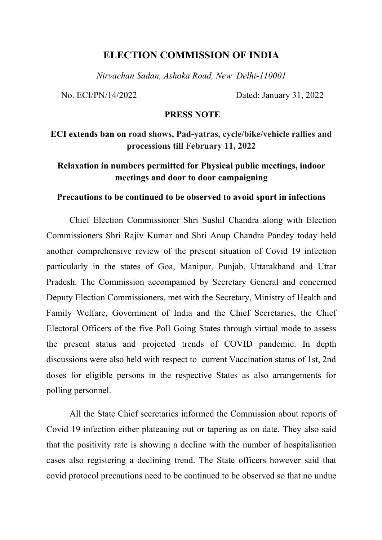## **ELECTION COMMISSION OF INDIA**

*Nirvachan Sadan, Ashoka Road, New Delhi-110001*

No. ECI/PN/14/2022 Dated: January 31, 2022

## **PRESS NOTE**

**ECI extends ban on road shows, Pad-yatras, cycle/bike/vehicle rallies and processions till February 11, 2022**

## **Relaxation in numbers permitted for Physical public meetings, indoor meetings and door to door campaigning**

## **Precautions to be continued to be observed to avoid spurt in infections**

Chief Election Commissioner Shri Sushil Chandra along with Election Commissioners Shri Rajiv Kumar and Shri Anup Chandra Pandey today held another comprehensive review of the present situation of Covid 19 infection particularly in the states of Goa, Manipur, Punjab, Uttarakhand and Uttar Pradesh. The Commission accompanied by Secretary General and concerned Deputy Election Commissioners, met with the Secretary, Ministry of Health and Family Welfare, Government of India and the Chief Secretaries, the Chief Electoral Officers of the five Poll Going States through virtual mode to assess the present status and projected trends of COVID pandemic. In depth discussions were also held with respect to current Vaccination status of 1st, 2nd doses for eligible persons in the respective States as also arrangements for polling personnel.

All the State Chief secretaries informed the Commission about reports of Covid 19 infection either plateauing out or tapering as on date. They also said that the positivity rate is showing a decline with the number of hospitalisation cases also registering a declining trend. The State officers however said that covid protocol precautions need to be continued to be observed so that no undue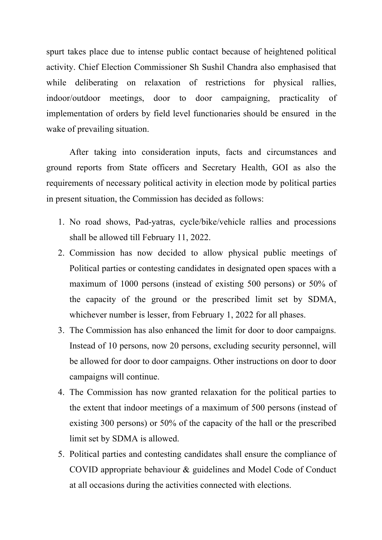spurt takes place due to intense public contact because of heightened political activity. Chief Election Commissioner Sh Sushil Chandra also emphasised that while deliberating on relaxation of restrictions for physical rallies, indoor/outdoor meetings, door to door campaigning, practicality of implementation of orders by field level functionaries should be ensured in the wake of prevailing situation.

After taking into consideration inputs, facts and circumstances and ground reports from State officers and Secretary Health, GOI as also the requirements of necessary political activity in election mode by political parties in present situation, the Commission has decided as follows:

- 1. No road shows, Pad-yatras, cycle/bike/vehicle rallies and processions shall be allowed till February 11, 2022.
- 2. Commission has now decided to allow physical public meetings of Political parties or contesting candidates in designated open spaces with a maximum of 1000 persons (instead of existing 500 persons) or 50% of the capacity of the ground or the prescribed limit set by SDMA, whichever number is lesser, from February 1, 2022 for all phases.
- 3. The Commission has also enhanced the limit for door to door campaigns. Instead of 10 persons, now 20 persons, excluding security personnel, will be allowed for door to door campaigns. Other instructions on door to door campaigns will continue.
- 4. The Commission has now granted relaxation for the political parties to the extent that indoor meetings of a maximum of 500 persons (instead of existing 300 persons) or 50% of the capacity of the hall or the prescribed limit set by SDMA is allowed.
- 5. Political parties and contesting candidates shall ensure the compliance of COVID appropriate behaviour & guidelines and Model Code of Conduct at all occasions during the activities connected with elections.